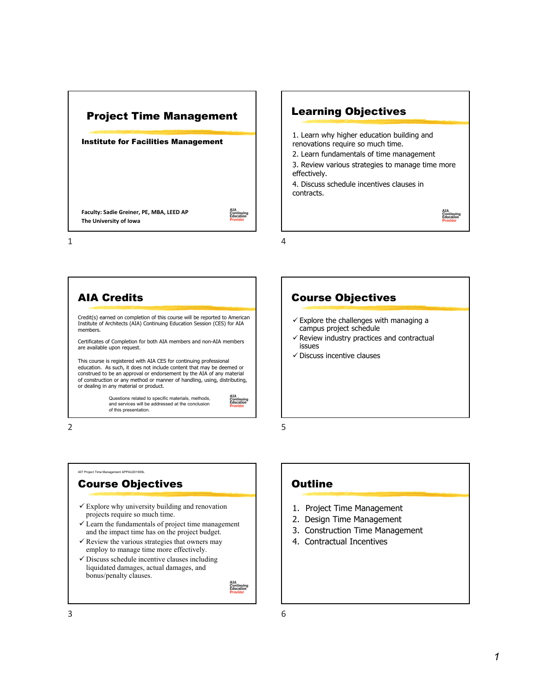

Learning Objectives 1. Learn why higher education building and renovations require so much time. 2. Learn fundamentals of time management 3. Review various strategies to manage time more effectively. 4. Discuss schedule incentives clauses in contracts. AIA<br>Continuing<br>Education

4



2





5

6

#### **Outline**

- 1. Project Time Management
- 2. Design Time Management
- 3. Construction Time Management
- 4. Contractual Incentives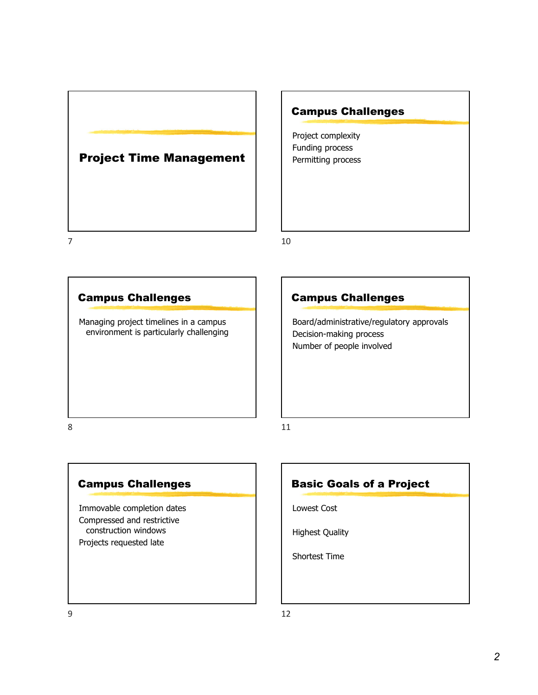

# Campus Challenges

Project complexity Funding process Permitting process

10



# Campus Challenges

Board/administrative/regulatory approvals Decision-making process Number of people involved

8

# Campus Challenges

Immovable completion dates Compressed and restrictive construction windows Projects requested late



Lowest Cost

Highest Quality

Shortest Time

11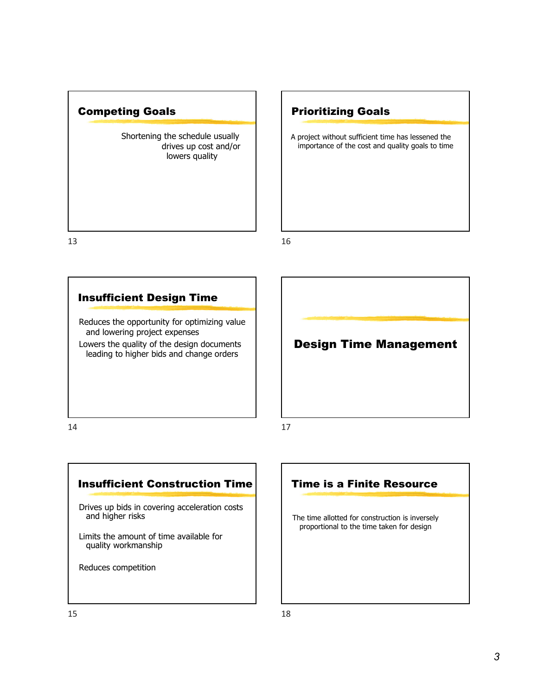

# Prioritizing Goals

A project without sufficient time has lessened the importance of the cost and quality goals to time

16

# Insufficient Design Time

Reduces the opportunity for optimizing value and lowering project expenses

Lowers the quality of the design documents leading to higher bids and change orders

14

Insufficient Construction Time

Drives up bids in covering acceleration costs and higher risks

Limits the amount of time available for quality workmanship

Reduces competition

# Design Time Management

17

# Time is a Finite Resource

The time allotted for construction is inversely proportional to the time taken for design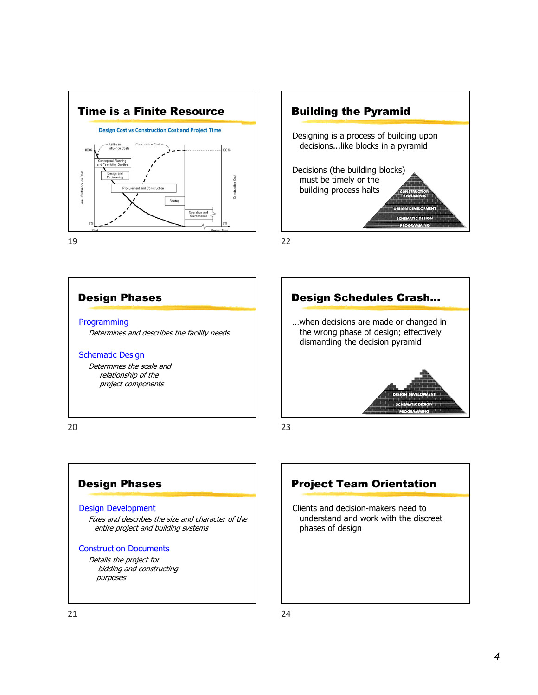



22



# Design Phases

#### Design Development

Fixes and describes the size and character of the entire project and building systems

#### Construction Documents

Details the project for bidding and constructing purposes



Clients and decision-makers need to understand and work with the discreet phases of design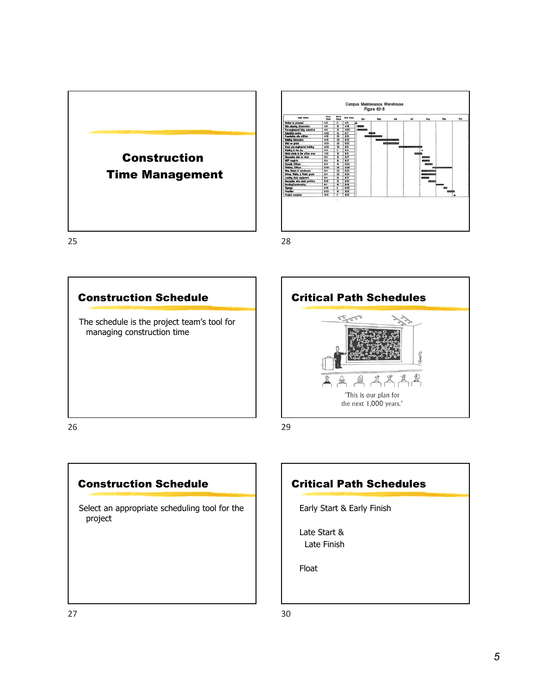



28





29

# Construction Schedule

Select an appropriate scheduling tool for the project

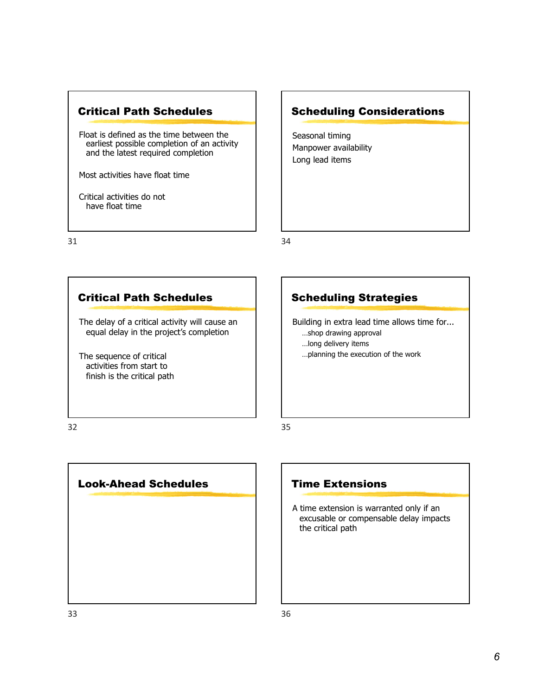

Float is defined as the time between the earliest possible completion of an activity and the latest required completion

Most activities have float time

Critical activities do not have float time

31

# Scheduling Considerations

Seasonal timing Manpower availability Long lead items

34

# Critical Path Schedules

The delay of a critical activity will cause an equal delay in the project's completion

The sequence of critical activities from start to finish is the critical path

# Scheduling Strategies

Building in extra lead time allows time for... …shop drawing approval …long delivery items

…planning the execution of the work

32



# Time Extensions

A time extension is warranted only if an excusable or compensable delay impacts the critical path

35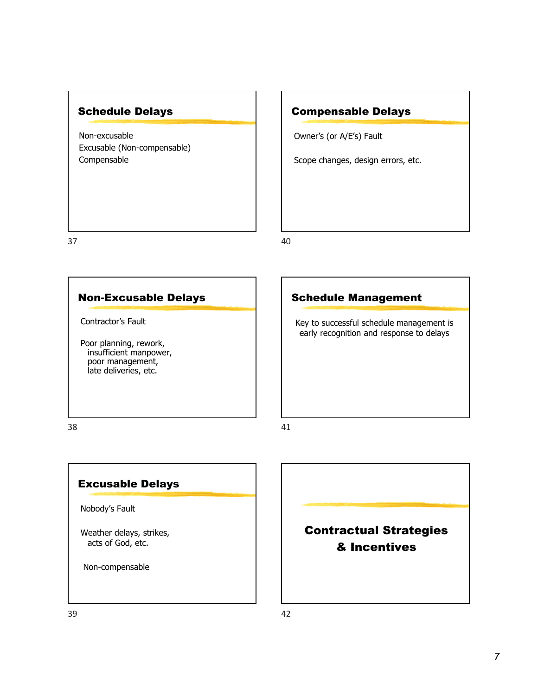# Schedule Delays

Non-excusable Excusable (Non-compensable) Compensable

Compensable Delays

Owner's (or A/E's) Fault

Scope changes, design errors, etc.

37

40

# Non-Excusable Delays

Contractor's Fault

Poor planning, rework, insufficient manpower, poor management, late deliveries, etc.

# Schedule Management

Key to successful schedule management is early recognition and response to delays

38

# Excusable Delays

Nobody's Fault

Weather delays, strikes, acts of God, etc.

Non-compensable

# Contractual Strategies & Incentives

41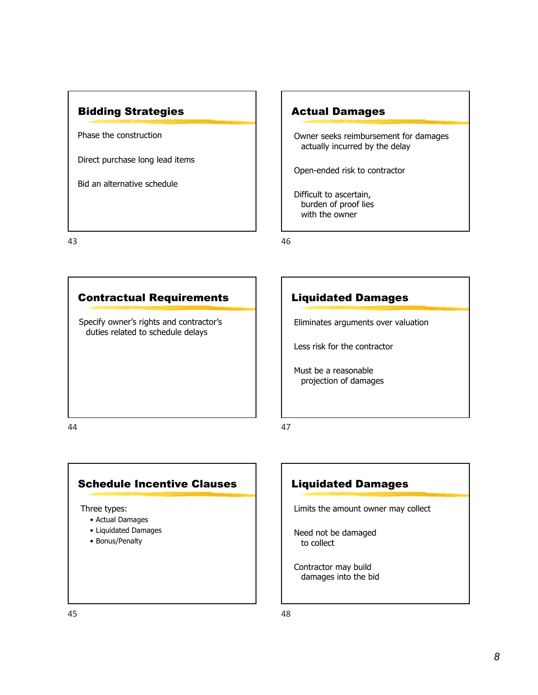

Phase the construction

Direct purchase long lead items

Bid an alternative schedule

43

### Actual Damages

Owner seeks reimbursement for damages actually incurred by the delay

Open-ended risk to contractor

Difficult to ascertain, burden of proof lies with the owner

46

47

# Contractual Requirements

Specify owner's rights and contractor's duties related to schedule delays

# Liquidated Damages

Eliminates arguments over valuation

Less risk for the contractor

Must be a reasonable projection of damages

44

# Schedule Incentive Clauses

Three types:

- Actual Damages
- Liquidated Damages
- Bonus/Penalty

# Liquidated Damages

Limits the amount owner may collect

Need not be damaged to collect

Contractor may build damages into the bid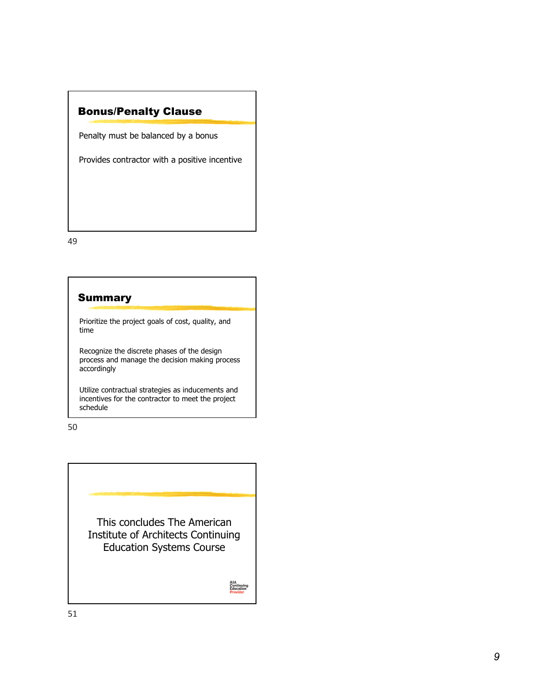# Bonus/Penalty Clause

Penalty must be balanced by a bonus

Provides contractor with a positive incentive

49

# Summary

Prioritize the project goals of cost, quality, and time

Recognize the discrete phases of the design process and manage the decision making process accordingly

Utilize contractual strategies as inducements and incentives for the contractor to meet the project schedule

50

This concludes The American Institute of Architects Continuing Education Systems Course

AIA<br>Continuing<br>Education<br>Provider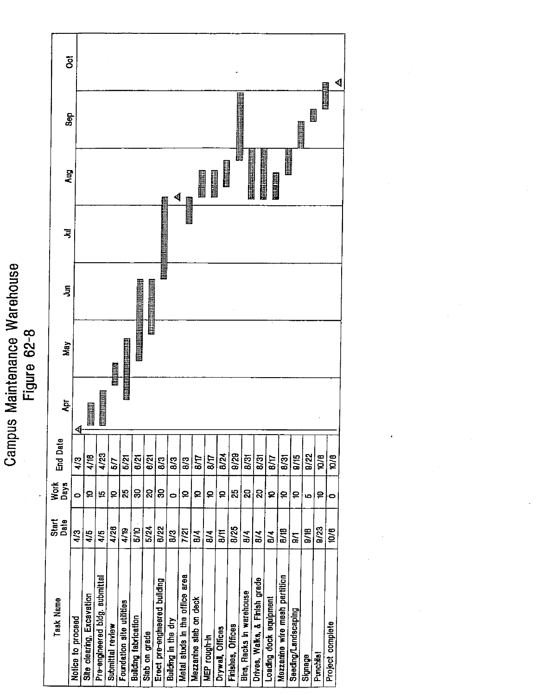Ö 團 Sep N MARIT **Original THE CONSUMER Bullet Liberty College** Aug **ESSENTER Elli Girona MAILLED** 4 习 **THE SEARCH** 画面出面面  $\overline{5}$ Figure 62-8 May **HIRRIBETHE** 医脑胆精 医胆固醇 **ENTERNATIONAL PROPERTY**  $\overline{A}$ Holland **End Date**  $9/29$  $4/23$ **B/24**  $9/22$ 4/16  $B/31$  $8/31$ **a**/15  $\overline{\mathbf{R}}$  $5/21$  $\overline{6/21}$ 6/21  $1/9$  $8/7$  $\frac{1}{10}$  $8/31$ 8/3  $8/3$ 4/3  $\overline{8}$ 5/7 Work<br>Days ခြ |္လုဒ္က 25 |৪ |ន **Q2** ∣ହ 15  $\mathbf{a}$  $\overline{\mathbf{a}}$ ∣ຂ  $\mathbf{P}$ ∣≘ ∣₽ ∣₽  $\boldsymbol{\Xi}$  $\boldsymbol{\mathsf{P}}$  $\circ$  $\bullet$ ю Start<br>Date  $\overline{5/24}$ 4/28  $5/10$ 8/22 **B/25**  $4/19$  $\overline{B/B}$  $\frac{1}{16}$  $9/23$ 4/3  $\frac{4}{5}$  $4/5$  $\overline{6/8}$  $\overline{7/21}$  $\overline{5}$  $B/4$  $8/4$  $B/4$  $\overline{8}$  $B/4$ l≊ Metal studs in the office area Mezzanine wire meah partition Pre-engineered bidg. submittal Drives, Waks, & Finish grade Erect pre-engineered building Bins, Racks in warehouse Site clearing, Excavation Loading dock equipment Task Name Mezzanine slab on deck Foundation site utilities Seeding/Landscaping **Building fabrication** Notice to proceed Building in the dry Submittal review Finishes, Offices Drywall, Offices Slab on grade **NEP** rough-In Signage Punchilat

Campus Maintenance Warehouse

₫

**THE REAL** 

 $\frac{1}{100}$ 

 $\bullet$ 

 $10/6$ 

Project complete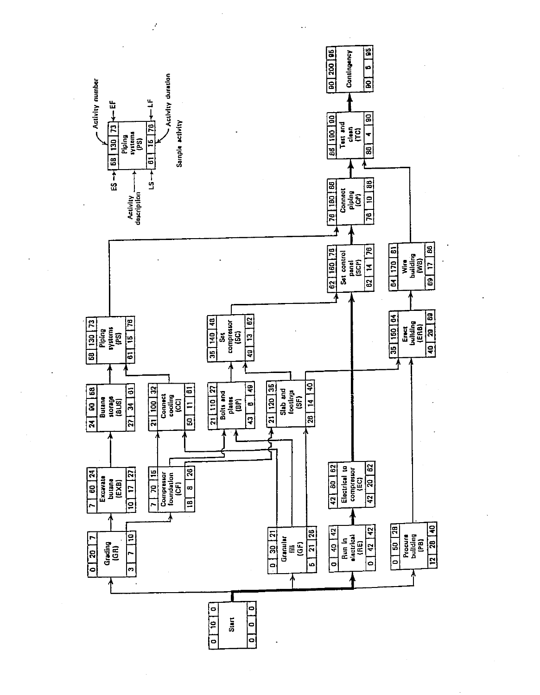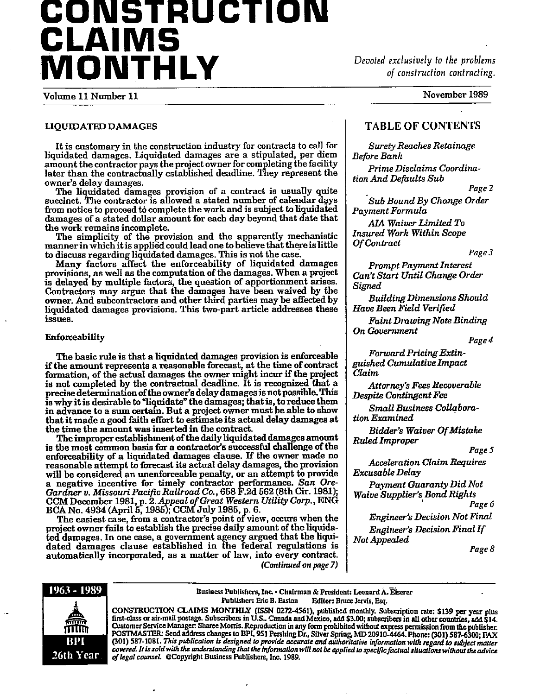# CONSTRUCTION **CLAIMS** MONTHLY

Devoted exclusively to the problems of construction contracting.

Volume 11 Number 11

November 1989

#### LIQUIDATED DAMAGES

It is customary in the construction industry for contracts to call for liquidated damages. Liquidated damages are a stipulated, per diem amount the contractor pays the project owner for completing the facility later than the contractually established deadline. They represent the owner's delay damages.

The liquidated damages provision of a contract is usually quite succinct. The contractor is allowed a stated number of calendar days from notice to proceed to complete the work and is subject to liquidated damages of a stated dollar amount for each day beyond that date that the work remains incomplete.

The simplicity of the provision and the apparently mechanistic manner in which it is applied could lead one to believe that there is little

to discuss regarding liquidated damages. This is not the case.<br>Many factors affect the enforceability of liquidated damages provisions, as well as the computation of the damages. When a project is delayed by multiple factors, the question of apportionment arises.<br>Contractors may argue that the damages have been waived by the owner. And subcontractors and other third parties may be affected by liquidated damages provisions. This two-part article addresses these issues.

#### Enforceability

The basic rule is that a liquidated damages provision is enforceable if the amount represents a reasonable forecast, at the time of contract formation, of the actual damages the owner might incur if the project is not completed by the contractual deadline. It is recognized that a precise determination of the owner's delay damages is not possible. This is why it is desirable to "liquidate" the damages; that is, to reduce them in advance to a sum certain. But a project owner must be able to show that it made a good faith effort to estimate its actual delay damages at the time the amount was inserted in the contract.

The improper establishment of the daily liquidated damages amount is the most common basis for a contractor's successful challenge of the enforceability of a liquidated damages clause. If the owner made no reasonable attempt to forecast its actual delay damages, the provision will be considered an unenforceable penalty, or an attempt to provide a negative incentive for timely contractor performance. San Ore-<br>Gardner v. Missouri Pacific Railroad Co., 658 F.2d 562 (8th Cir. 1981);<br>CCM December 1981, p. 2. Appeal of Great Western Utility Corp., ENG<br>BCA No. 4934 (Apr

The easiest case, from a contractor's point of view, occurs when the project owner fails to establish the precise daily amount of the liquidated damages. In one case, a government agency argued that the liquidated damages clause established in the federal regulations is automatically incorporated, as a matter of law, into every contract. (Continued on page 7)

#### **TABLE OF CONTENTS**

**Surety Reaches Retainage Before Bank** 

Prime Disclaims Coordination And Defaults Sub

Page 2

Sub Bound By Change Order Payment Formula

**AIA Waiver Limited To Insured Work Within Scope** Of Contract

Page 3

**Prompt Payment Interest** Can't Start Until Change Order Signed

**Building Dimensions Should** Have Been Field Verified

**Faint Drawing Note Binding** On Government

Page 4

**Forward Pricing Extin**guished Cumulative Impact Claim

Attorney's Fees Recoverable **Despite Contingent Fee** 

Small Business Collaboration Examined

**Bidder's Waiver Of Mistake Ruled Improper** 

Page 5

**Acceleration Claim Requires** Excusable Delay

Payment Guaranty Did Not Waive Supplier's Bond Rights

Page 6

**Engineer's Decision Not Final Engineer's Decision Final If** Not Appealed

Page 8



Business Publishers, Inc. • Chairman & President: Leonard A. Eiserer Publisher: Eric B. Easton Editor: Bruce Jervis, Esq.

CONSTRUCTION CLAIMS MONTHLY (ISSN 0272-4561), published monthly. Subscription rate: \$139 per year plus first-class or air-mail postage. Subscribers in U.S., Canada and Mexico, add \$3.00; subscribers in all other countries, Customer Service Manager: Sharee Morris. Reproduction in any form prohibited without express permission from the publisher.<br>POSTMASTER: Send address changes to BPI, 951 Pershing Dr., Silver Spring, MD 20910-4464. Phone: (3 (301) 587-1081. This publication is designed to provide accurate and authoritative information with regard to subject matter covered. It is sold with the understanding that the information will not be applied to specific factual situations without the advice of legal counsel. @Copyright Business Publishers, Inc. 1989.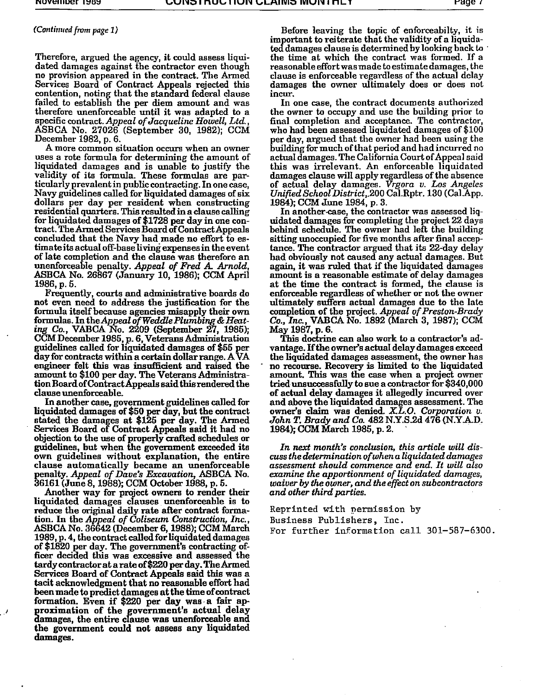#### (Continued from page 1)

Therefore, argued the agency, it could assess liquidated damages against the contractor even though no provision appeared in the contract. The Armed Services Board of Contract Appeals rejected this contention, noting that the standard federal clause failed to establish the per diem amount and was therefore unenforceable until it was adapted to a specific contract. Appeal of Jacqueline Howell, Ltd., ASBCA No. 27026 (September 30, 1982); CCM December 1982, p. 6.

A more common situation occurs when an owner uses a rote formula for determining the amount of liquidated damages and is unable to justify the<br>validity of its formula. These formulas are par-<br>ticularly prevalent in public contracting. In one case, Navy guidelines called for liquidated damages of six dollars per day per resident when constructing residential quarters. This resulted in a clause calling for liquidated damages of \$1728 per day in one contract. The Armed Services Board of Contract Appeals concluded that the Navy had made no effort to estimate its actual off-base living expenses in the event of late completion and the clause was therefore an unenforceable penalty. Appeal of Fred A. Arnold, ASBCA No. 26867 (January 10, 1986); CCM April 1986, p. 5.

Frequently, courts and administrative boards do not even need to address the justification for the formula itself because agencies misapply their own formulas. In the Appeal of Weddle Plumbing & Heating Co., VABCA No. 2209 (September 27, 1985); CCM December 1985, p. 6, Veterans Administration<br>guidelines called for liquidated damages of \$55 per<br>day for contracts within a certain dollar range. A VA engineer felt this was insufficient and raised the amount to \$100 per day. The Veterans Administration Board of Contract Appeals said this rendered the clause unenforceable.

In another case, government guidelines called for liquidated damages of \$50 per day, but the contract stated the damages at \$125 per day. The Armed Services Board of Contract Appeals said it had no objection to the use of properly crafted schedules or guidelines, but when the government exceeded its own guidelines without explanation, the entire clause automatically became an unenforceable penalty. Appeal of Dave's Excavation, ASBCA No. 36161 (June 8, 1988); CCM October 1988, p. 5.

Another way for project owners to render their liquidated damages clauses unenforceable is to reduce the original daily rate after contract formation. In the Appeal of Coliseum Construction, Inc., ASBCA No. 36642 (December 6, 1988); CCM March 1989, p. 4, the contract called for liquidated damages of \$1820 per day. The government's contracting officer decided this was excessive and assessed the tardy contractor at a rate of \$220 per day. The Armed Services Board of Contract Appeals said this was a tacit acknowledgment that no reasonable effort had been made to predict damages at the time of contract formation. Even if \$220 per day was a fair approximation of the government's actual delay damages, the entire clause was unenforceable and the government could not assess any liquidated damages.

Before leaving the topic of enforceabilty, it is important to reiterate that the validity of a liquidated damages clause is determined by looking back to the time at which the contract was formed. If a reasonable effort was made to estimate damages, the clause is enforceable regardless of the actual delay damages the owner ultimately does or does not incur.

In one case, the contract documents authorized the owner to occupy and use the building prior to final completion and acceptance. The contractor,<br>who had been assessed liquidated damages of \$100 per day, argued that the owner had been using the building for much of that period and had incurred no actual damages. The California Court of Appeal said this was irrelevant. An enforceable liquidated damages clause will apply regardless of the absence of actual delay damages. Vrgora v. Los Angeles<br>Unified School District, 200 Cal.Rptr. 130 (Cal.App. 1984); CCM June 1984, p. 3.

In another case, the contractor was assessed liquidated damages for completing the project 22 days behind schedule. The owner had left the building sitting unoccupied for five months after final acceptance. The contractor argued that its 22-day delay had obviously not caused any actual damages. But again, it was ruled that if the liquidated damages amount is a reasonable estimate of delay damages at the time the contract is formed, the clause is enforceable regardless of whether or not the owner ultimately suffers actual damages due to the late completion of the project. Appeal of Preston-Brady Co., Inc., VABCA No. 1892 (March 3, 1987); CCM<br>May 1987, p. 6.

This doctrine can also work to a contractor's advantage. If the owner's actual delay damages exceed the liquidated damages assessment, the owner has no recourse. Recovery is limited to the liquidated amount. This was the case when a project owner tried unsuccessfully to sue a contractor for \$340,000 of actual delay damages it allegedly incurred over and above the liquidated damages assessment. The owner's claim was denied. X.L.O. Corporation v. John T. Brady and Co. 482 N.Y.S.2d 476 (N.Y.A.D. 1984); CCM March 1985, p. 2.

In next month's conclusion, this article will discuss the determination of when a liquidated damages assessment should commence and end. It will also examine the apportionment of liquidated damages, waiver by the owner, and the effect on subcontractors and other third parties.

Reprinted with permission by Business Publishers, Inc.

For further information call 301-587-6300.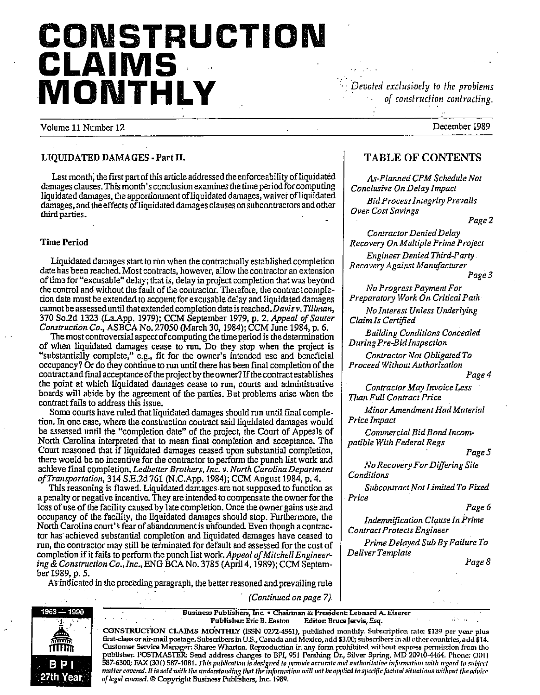# CONSTRUCTION **CLAIMS** MONTHLY

Devoted exclusively to the problems of construction contracting.

Volume 11 Number 12

December 1989

#### LIQUIDATED DAMAGES - Part II.

Last month, the first part of this article addressed the enforceability of liquidated damages clauses. This month's conclusion examines the time period for computing liquidated damages, the apportionment of liquidated damages, waiver of liquidated damages, and the effects of liquidated damages clauses on subcontractors and other third parties.

#### **Time Period**

Liquidated damages start to run when the contractually established completion date has been reached. Most contracts, however, allow the contractor an extension of time for "excusable" delay; that is, delay in project completion that was beyond the control and without the fault of the contractor. Therefore, the contract completion date must be extended to account for excusable delay and liquidated damages cannot be assessed until that extended completion date is reached. Davis v. Tillman, 370 So.2d 1323 (La.App. 1979); CCM September 1979, p. 2. Appeal of Sauter Construction Co., ASBCA No. 27050 (March 30, 1984); CCM June 1984, p. 6.

The most controversial aspect of computing the time period is the determination of when liquidated damages cease to run. Do they stop when the project is "substantially complete," e.g., fit for the owner's intended use and beneficial occupancy? Or do they continue to run until there has been final completion of the contract and final acceptance of the project by the owner? If the contract establishes the point at which liquidated damages cease to run, courts and administrative boards will abide by the agreement of the parties. But problems arise when the contract fails to address this issue.

Some courts have ruled that liquidated damages should run until final completion. In one case, where the construction contract said liquidated damages would be assessed until the "completion date" of the project, the Court of Appeals of North Carolina interpreted that to mean final completion and acceptance. The Court reasoned that if liquidated damages ceased upon substantial completion, there would be no incentive for the contractor to perform the punch list work and achieve final completion. Ledbetter Brothers, Inc. v. North Carolina Department of Transportation, 314 S.E.2d 761 (N.C.App. 1984); CCM August 1984, p. 4.

This reasoning is flawed. Liquidated damages are not supposed to function as a penalty or negative incentive. They are intended to compensate the owner for the loss of use of the facility caused by late completion. Once the owner gains use and occupancy of the facility, the liquidated damages should stop. Furthermore, the North Carolina court's fear of abandonment is unfounded. Even though a contractor has achieved substantial completion and liquidated damages have ceased to run, the contractor may still be terminated for default and assessed for the cost of completion if it fails to perform the punch list work. Appeal of Mitchell Engineering & Construction Co., Inc., ENG BCA No. 3785 (April 4, 1989); CCM September 1989, p. 5.

As indicated in the preceding paragraph, the better reasoned and prevailing rule

(Continued on page 7).



Business Publishers, Inc. • Chairman & President: Leonard A. Eiserer Publisher: Eric B. Easton Editor: Bruce Jervis, Esq.

CONSTRUCTION CLAIMS MONTHLY (ISSN 0272-4561), published monthly. Subscription rate: \$139 per year plus<br>first-class or air-mail postage. Subscribers in U.S., Canada and Mexico, add \$3.00; subscribers in all other countries, Customer Service Manager: Sharee Wharton. Reproduction in any form prohibited without express permission from the publisher. POSTMASTER: Send address changes to BPI, 951 Pershing Dr., Silver Spring, MD 20910-4464. Phone: (301)<br>587-6300; FAX (301) 587-1081. This publication is designed to provide accurate and authoritative information matter covered. It is sold with the understanding that the information will not be applied to specific factual situations without the advice of legal counsel. © Copyright Business Publishers, Inc. 1989.

# **TABLE OF CONTENTS**

As-Planned CPM Schedule Not Conclusive On Delay Impact **Bid Process Integrity Prevails** Over Cost Savings

Page 2

Contractor Denied Delay Recovery On Multiple Prime Project

**Engineer Denied Third-Party** Recovery Against Manufacturer

Page 3

No Progress Payment For Preparatory Work On Critical Path

No Interest Unless Underlying Claim Is Certified

**Building Conditions Concealed** During Pre-Bid Inspection

Contractor Not Obligated To Proceed Without Authorization

Page 4

Contractor May Invoice Less Than Full Contract Price

Minor Amendment Had Material Price Impact

Commercial Bid Bond Incompatible With Federal Regs

Page 5

No Recovery For Differing Site Conditions

Subcontract Not Limited To Fixed Price

#### Page 6

**Indemnification Clause In Prime Contract Protects Engineer** 

Prime Delayed Sub By Failure To Deliver Template

Page 8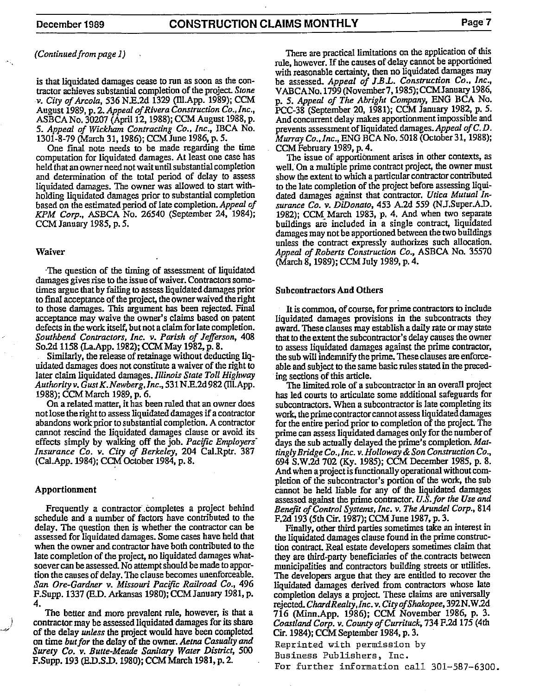(Continued from page 1)

is that liquidated damages cease to run as soon as the contractor achieves substantial completion of the project. Stone v. City of Arcola, 536 N.E.2d 1329 (Ill.App. 1989); CCM August 1989, p. 2. Appeal of Rivera Construction Co., Inc., ASBCA No. 30207 (April 12, 1988); CCM August 1988, p. 5. Appeal of Wickham Contracting Co., Inc., IBCA No. 1301-8-79 (March 31, 1986); CCM June 1986, p. 5.

One final note needs to be made regarding the time computation for liquidated damages. At least one case has held that an owner need not wait until substantial completion and determination of the total period of delay to assess liquidated damages. The owner was allowed to start withholding liquidated damages prior to substantial completion based on the estimated period of late completion. Appeal of KPM Corp., ASBCA No. 26540 (September 24, 1984); CCM January 1985, p. 5.

#### Waiver

The question of the timing of assessment of liquidated damages gives rise to the issue of waiver. Contractors sometimes argue that by failing to assess liquidated damages prior to final acceptance of the project, the owner waived the right to those damages. This argument has been rejected. Final acceptance may waive the owner's claims based on patent defects in the work itself, but not a claim for late completion. Southbend Contractors, Inc. v. Parish of Jefferson, 408 So.2d 1158 (La.App. 1982); CCM May 1982, p. 8.

Similarly, the release of retainage without deducting liquidated damages does not constitute a waiver of the right to later claim liquidated damages. Illinois State Toll Highway Authority v. Gust K. Newberg, Inc., 531 N.E.2d 982 (Ill.App. 1988); CCM March 1989, p. 6.

On a related matter, it has been ruled that an owner does not lose the right to assess liquidated damages if a contractor abandons work prior to substantial completion. A contractor cannot rescind the liquidated damages clause or avoid its effects simply by walking off the job. Pacific Employers Insurance Co. v. City of Berkeley, 204 Cal.Rptr. 387 (Cal.App. 1984); CCM October 1984, p. 8.

#### Apportionment

Frequently a contractor completes a project behind schedule and a number of factors have contributed to the delay. The question then is whether the contractor can be assessed for liquidated damages. Some cases have held that when the owner and contractor have both contributed to the late completion of the project, no liquidated damages whatsoever can be assessed. No attempt should be made to apportion the causes of delay. The clause becomes unenforceable. San Ore-Gardner v. Missouri Pacific Railroad Co., 496 F.Supp. 1337 (E.D. Arkansas 1980); CCM January 1981, p. 4.

The better and more prevalent rule, however, is that a contractor may be assessed liquidated damages for its share of the delay unless the project would have been completed on time but for the delay of the owner. Aetna Casualty and Surety Co. v. Butte-Meade Sanitary Water District, 500 F.Supp. 193 (E.D.S.D. 1980); CCM March 1981, p. 2.

There are practical limitations on the application of this rule, however. If the causes of delay cannot be apportioned with reasonable certainty, then no liquidated damages may be assessed. Appeal of J.B.L. Construction Co., Inc., VABCANo. 1799 (November 7, 1985); CCM January 1986, p. 5. Appeal of The Abright Company, ENG BCA No. PCC-38 (September 20, 1981); CCM January 1982, p. 5. And concurrent delay makes apportionment impossible and prevents assessment of liquidated damages. Appeal of C.D. Murray Co., Inc., ENG BCA No. 5018 (October 31, 1988); CCM February 1989, p. 4.

The issue of apportionment arises in other contexts, as well. On a multiple prime contract project, the owner must show the extent to which a particular contractor contributed to the late completion of the project before assessing liquidated damages against that contractor. Utica Mutual Insurance Co. v. DiDonato, 453 A.2d 559 (N.J.Super.A.D. 1982); CCM March 1983, p. 4. And when two separate buildings are included in a single contract, liquidated damages may not be apportioned between the two buildings unless the contract expressly authorizes such allocation. Appeal of Roberts Construction Co., ASBCA No. 35570 (March 8, 1989); CCM July 1989, p. 4.

#### **Subcontractors And Others**

It is common, of course, for prime contractors to include liquidated damages provisions in the subcontracts they award. These clauses may establish a daily rate or may state that to the extent the subcontractor's delay causes the owner to assess liquidated damages against the prime contractor, the sub will indemnify the prime. These clauses are enforceable and subject to the same basic rules stated in the preceding sections of this article.

The limited role of a subcontractor in an overall project has led courts to articulate some additional safeguards for subcontractors. When a subcontractor is late completing its work, the prime contractor cannot assess liquidated damages for the entire period prior to completion of the project. The prime can assess liquidated damages only for the number of days the sub actually delayed the prime's completion. Mattingly Bridge Co., Inc. v. Holloway & Son Construction Co., 694 S.W.2d 702 (Ky. 1985); CCM December 1985, p. 8. And when a project is functionally operational without completion of the subcontractor's portion of the work, the subcannot be held liable for any of the liquidated damages assessed against the prime contractor. U.S. for the Use and Benefit of Control Systems, Inc. v. The Arundel Corp., 814 F.2d 193 (5th Cir. 1987); CCM June 1987, p. 3.

Finally, other third parties sometimes take an interest in the liquidated damages clause found in the prime construction contract. Real estate developers sometimes claim that they are third-party beneficiaries of the contracts between municipalities and contractors building streets or utilities. The developers argue that they are entitled to recover the liquidated damages derived from contractors whose late completion delays a project. These claims are universally rejected. Chard Realty, Inc. v. City of Shakopee, 392 N.W.2d 716 (Minn.App. 1986); CCM November 1986, p. 3. Coastland Corp. v. County of Currituck, 734 F.2d 175 (4th Cir. 1984); CCM September 1984, p. 3.

Reprinted with permission by

Business Publishers, Inc.

For further information call 301-587-6300.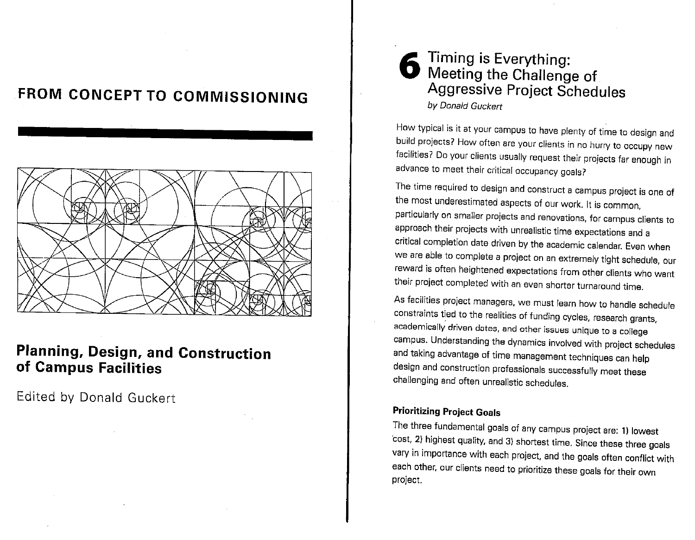# FROM CONCEPT TO COMMISSIONING



# **Planning, Design, and Construction** of Campus Facilities

Edited by Donald Guckert

# Timing is Everything: Meeting the Challenge of Aggressive Project Schedules by Donald Guckert

How typical is it at your campus to have plenty of time to design and build projects? How often are your clients in no hurry to occupy new facilities? Do your clients usually request their projects far enough in advance to meet their critical occupancy goals?

The time required to design and construct a campus project is one of the most underestimated aspects of our work. It is common, particularly on smaller projects and renovations, for campus clients to approach their projects with unrealistic time expectations and a critical completion date driven by the academic calendar. Even when we are able to complete a project on an extremely tight schedule, our reward is often heightened expectations from other clients who want their project completed with an even shorter turnaround time.

As facilities project managers, we must learn how to handle schedule constraints tied to the realities of funding cycles, research grants, academically driven dates, and other issues unique to a college campus. Understanding the dynamics involved with project schedules and taking advantage of time management techniques can help design and construction professionals successfully meet these challenging and often unrealistic schedules.

# **Prioritizing Project Goals**

The three fundamental goals of any campus project are: 1) lowest cost, 2) highest quality, and 3) shortest time. Since these three goals vary in importance with each project, and the goals often conflict with each other, our clients need to prioritize these goals for their own project.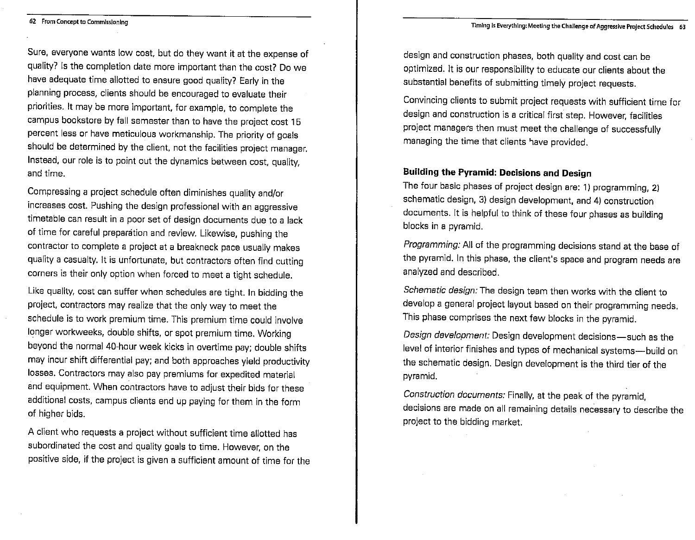Sure, everyone wants low cost, but do they want it at the expense of quality? Is the completion date more important than the cost? Do we have adequate time allotted to ensure good quality? Early in the planning process, clients should be encouraged to evaluate their priorities. It may be more important, for example, to complete the campus bookstore by fall semester than to have the project cost 15 percent less or have meticulous workmanship. The priority of goals should be determined by the client, not the facilities project manager. Instead, our role is to point out the dynamics between cost, quality, and time.

Compressing a project schedule often diminishes quality and/or increases cost. Pushing the design professional with an aggressive timetable can result in a poor set of design documents due to a lack of time for careful preparation and review. Likewise, pushing the contractor to complete a project at a breakneck pace usually makes quality a casualty. It is unfortunate, but contractors often find cutting corners is their only option when forced to meet a tight schedule.

Like quality, cost can suffer when schedules are tight. In bidding the project, contractors may realize that the only way to meet the schedule is to work premium time. This premium time could involve longer workweeks, double shifts, or spot premium time. Working beyond the normal 40-hour week kicks in overtime pay; double shifts may incur shift differential pay; and both approaches yield productivity losses. Contractors may also pay premiums for expedited material and equipment. When contractors have to adjust their bids for these additional costs, campus clients end up paying for them in the form of higher bids.

A client who requests a project without sufficient time allotted has subordinated the cost and quality goals to time. However, on the positive side, if the project is given a sufficient amount of time for the design and construction phases, both quality and cost can be optimized. It is our responsibility to educate our clients about the substantial benefits of submitting timely project requests.

Convincing clients to submit project requests with sufficient time for design and construction is a critical first step. However, facilities project managers then must meet the challenge of successfully managing the time that clients have provided.

# **Building the Pyramid: Decisions and Design**

The four basic phases of project design are: 1) programming, 2) schematic design, 3) design development, and 4) construction documents. It is helpful to think of these four phases as building blocks in a pyramid.

Programming: All of the programming decisions stand at the base of the pyramid. In this phase, the client's space and program needs are analyzed and described.

Schematic design: The design team then works with the client to develop a general project layout based on their programming needs. This phase comprises the next few blocks in the pyramid.

Design development: Design development decisions-such as the level of interior finishes and types of mechanical systems-build on the schematic design. Design development is the third tier of the pyramid.

Construction documents: Finally, at the peak of the pyramid, decisions are made on all remaining details necessary to describe the project to the bidding market.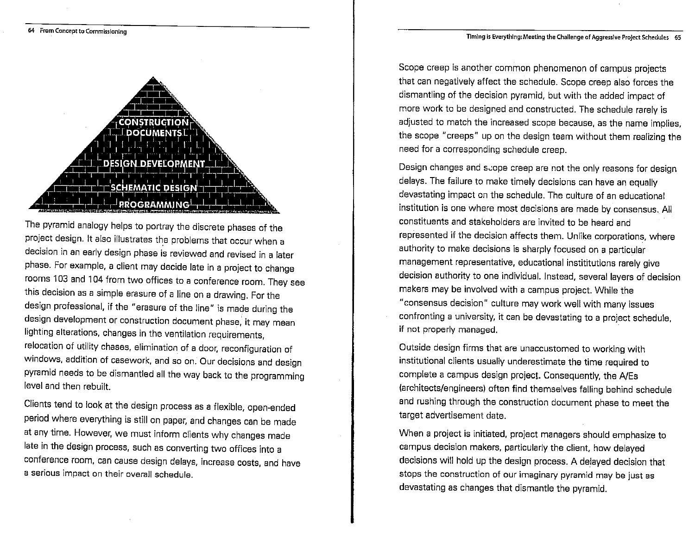

The pyramid analogy helps to portray the discrete phases of the project design. It also illustrates the problems that occur when a decision in an early design phase is reviewed and revised in a later phase. For example, a client may decide late in a project to change rooms 103 and 104 from two offices to a conference room. They see this decision as a simple erasure of a line on a drawing. For the design professional, if the "erasure of the line" is made during the design development or construction document phase, it may mean lighting alterations, changes in the ventilation requirements, relocation of utility chases, elimination of a door, reconfiguration of windows, addition of casework, and so on. Our decisions and design pyramid needs to be dismantled all the way back to the programming level and then rebuilt.

Clients tend to look at the design process as a flexible, open-ended period where everything is still on paper, and changes can be made at any time. However, we must inform clients why changes made late in the design process, such as converting two offices into a conference room, can cause design delays, increase costs, and have a serious impact on their overall schedule.

Scope creep is another common phenomenon of campus projects that can negatively affect the schedule. Scope creep also forces the dismantling of the decision pyramid, but with the added impact of more work to be designed and constructed. The schedule rarely is adjusted to match the increased scope because, as the name implies, the scope "creeps" up on the design team without them realizing the need for a corresponding schedule creep.

Design changes and scope creep are not the only reasons for design delays. The failure to make timely decisions can have an equally devastating impact on the schedule. The culture of an educational institution is one where most decisions are made by consensus. All constituents and stakeholders are invited to be heard and represented if the decision affects them. Unlike corporations, where authority to make decisions is sharply focused on a particular management representative, educational instititutions rarely give decision authority to one individual. Instead, several layers of decision makers may be involved with a campus project. While the "consensus decision" culture may work well with many issues confronting a university, it can be devastating to a project schedule, if not properly managed.

Outside design firms that are unaccustomed to working with institutional clients usually underestimate the time required to complete a campus design project. Consequently, the A/Es (architects/engineers) often find themselves falling behind schedule and rushing through the construction document phase to meet the target advertisement date.

When a project is initiated, project managers should emphasize to campus decision makers, particularly the client, how delayed decisions will hold up the design process. A delayed decision that stops the construction of our imaginary pyramid may be just as devastating as changes that dismantle the pyramid.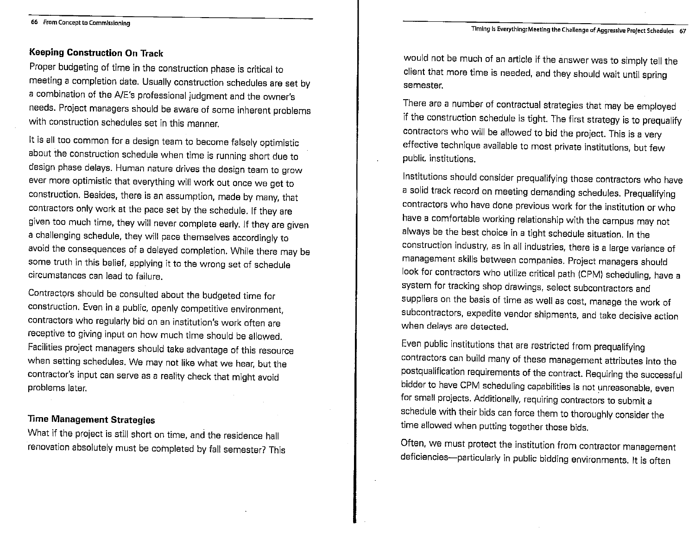#### **Keeping Construction On Track**

Proper budgeting of time in the construction phase is critical to meeting a completion date. Usually construction schedules are set by a combination of the A/E's professional judgment and the owner's needs. Project managers should be aware of some inherent problems with construction schedules set in this manner.

It is all too common for a design team to become falsely optimistic about the construction schedule when time is running short due to design phase delays. Human nature drives the design team to grow ever more optimistic that everything will work out once we get to construction. Besides, there is an assumption, made by many, that contractors only work at the pace set by the schedule. If they are given too much time, they will never complete early. If they are given a challenging schedule, they will pace themselves accordingly to avoid the consequences of a delayed completion. While there may be some truth in this belief, applying it to the wrong set of schedule circumstances can lead to failure.

Contractors should be consulted about the budgeted time for construction. Even in a public, openly competitive environment, contractors who regularly bid on an institution's work often are receptive to giving input on how much time should be allowed. Facilities project managers should take advantage of this resource when setting schedules. We may not like what we hear, but the contractor's input can serve as a reality check that might avoid problems later.

#### **Time Management Strategies**

What if the project is still short on time, and the residence hall renovation absolutely must be completed by fall semester? This

would not be much of an article if the answer was to simply tell the client that more time is needed, and they should wait until spring semester.

There are a number of contractual strategies that may be employed if the construction schedule is tight. The first strategy is to prequalify contractors who will be allowed to bid the project. This is a very effective technique available to most private institutions, but few public institutions.

Institutions should consider prequalifying those contractors who have a solid track record on meeting demanding schedules. Prequalifying contractors who have done previous work for the institution or who have a comfortable working relationship with the campus may not always be the best choice in a tight schedule situation. In the construction industry, as in all industries, there is a large variance of management skills between companies. Project managers should look for contractors who utilize critical path (CPM) scheduling, have a system for tracking shop drawings, select subcontractors and suppliers on the basis of time as well as cost, manage the work of subcontractors, expedite vendor shipments, and take decisive action when delays are detected.

Even public institutions that are restricted from prequalifying contractors can build many of these management attributes into the postqualification requirements of the contract. Requiring the successful bidder to have CPM scheduling capabilities is not unreasonable, even for small projects. Additionally, requiring contractors to submit a schedule with their bids can force them to thoroughly consider the time allowed when putting together those bids.

Often, we must protect the institution from contractor management deficiencies-particularly in public bidding environments. It is often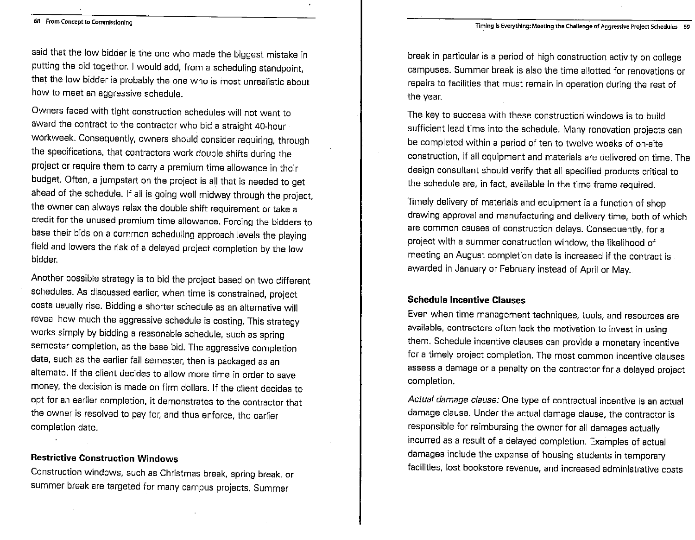#### Timing is Everything: Meeting the Challenge of Aggressive Project Schedules 69

#### 68 From Concept to Commissioning

said that the low bidder is the one who made the biggest mistake in putting the bid together. I would add, from a scheduling standpoint, that the low bidder is probably the one who is most unrealistic about how to meet an aggressive schedule.

Owners faced with tight construction schedules will not want to award the contract to the contractor who bid a straight 40-hour workweek. Consequently, owners should consider requiring, through the specifications, that contractors work double shifts during the project or require them to carry a premium time allowance in their budget. Often, a jumpstart on the project is all that is needed to get ahead of the schedule. If all is going well midway through the project, the owner can always relax the double shift requirement or take a credit for the unused premium time allowance. Forcing the bidders to base their bids on a common scheduling approach levels the playing field and lowers the risk of a delayed project completion by the low bidder.

Another possible strategy is to bid the project based on two different schedules. As discussed earlier, when time is constrained, project costs usually rise. Bidding a shorter schedule as an alternative will reveal how much the aggressive schedule is costing. This strategy works simply by bidding a reasonable schedule, such as spring semester completion, as the base bid. The aggressive completion date, such as the earlier fall semester, then is packaged as an alternate. If the client decides to allow more time in order to save money, the decision is made on firm dollars. If the client decides to opt for an earlier completion, it demonstrates to the contractor that the owner is resolved to pay for, and thus enforce, the earlier completion date.

#### **Restrictive Construction Windows**

Construction windows, such as Christmas break, spring break, or summer break are targeted for many campus projects. Summer

break in particular is a period of high construction activity on college campuses. Summer break is also the time allotted for renovations or repairs to facilities that must remain in operation during the rest of the year.

The key to success with these construction windows is to build sufficient lead time into the schedule. Many renovation projects can be completed within a period of ten to twelve weeks of on-site construction, if all equipment and materials are delivered on time. The design consultant should verify that all specified products critical to the schedule are, in fact, available in the time frame required.

Timely delivery of materials and equipment is a function of shop drawing approval and manufacturing and delivery time, both of which are common causes of construction delays. Consequently, for a project with a summer construction window, the likelihood of meeting an August completion date is increased if the contract is awarded in January or February instead of April or May.

#### **Schedule Incentive Clauses**

Even when time management techniques, tools, and resources are available, contractors often lack the motivation to invest in using them. Schedule incentive clauses can provide a monetary incentive for a timely project completion. The most common incentive clauses assess a damage or a penalty on the contractor for a delayed project completion.

Actual damage clause: One type of contractual incentive is an actual damage clause. Under the actual damage clause, the contractor is responsible for reimbursing the owner for all damages actually incurred as a result of a delayed completion. Examples of actual damages include the expense of housing students in temporary facilities, lost bookstore revenue, and increased administrative costs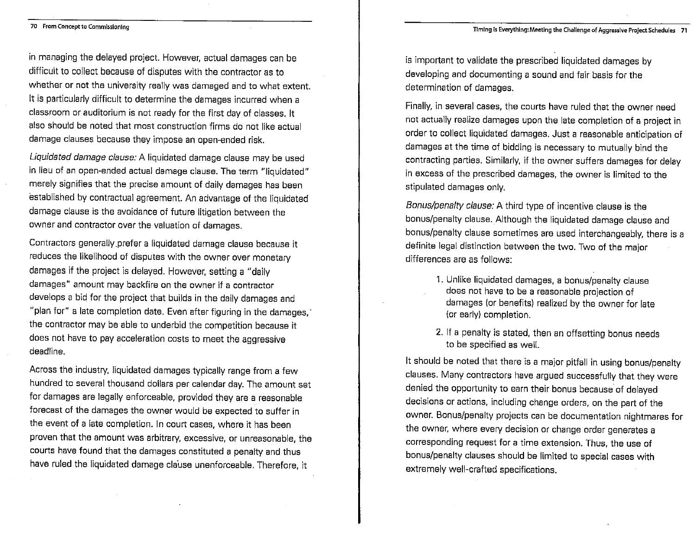in managing the delayed project. However, actual damages can be difficult to collect because of disputes with the contractor as to whether or not the university really was damaged and to what extent. It is particularly difficult to determine the damages incurred when a classroom or auditorium is not ready for the first day of classes. It also should be noted that most construction firms do not like actual damage clauses because they impose an open-ended risk.

Liquidated damage clause: A liquidated damage clause may be used in lieu of an open-ended actual damage clause. The term "liquidated" merely signifies that the precise amount of daily damages has been established by contractual agreement. An advantage of the liquidated damage clause is the avoidance of future litigation between the owner and contractor over the valuation of damages.

Contractors generally prefer a liquidated damage clause because it reduces the likelihood of disputes with the owner over monetary damages if the project is delayed. However, setting a "daily damages" amount may backfire on the owner if a contractor develops a bid for the project that builds in the daily damages and "plan for" a late completion date. Even after figuring in the damages," the contractor may be able to underbid the competition because it does not have to pay acceleration costs to meet the aggressive deadline.

Across the industry, liquidated damages typically range from a few hundred to several thousand dollars per calendar day. The amount set for damages are legally enforceable, provided they are a reasonable forecast of the damages the owner would be expected to suffer in the event of a late completion. In court cases, where it has been proven that the amount was arbitrary, excessive, or unreasonable, the courts have found that the damages constituted a penalty and thus have ruled the liquidated damage clause unenforceable. Therefore, it

is important to validate the prescribed liquidated damages by developing and documenting a sound and fair basis for the determination of damages.

Finally, in several cases, the courts have ruled that the owner need not actually realize damages upon the late completion of a project in order to collect liquidated damages. Just a reasonable anticipation of damages at the time of bidding is necessary to mutually bind the contracting parties. Similarly, if the owner suffers damages for delay in excess of the prescribed damages, the owner is limited to the stipulated damages only.

Bonus/penalty clause: A third type of incentive clause is the bonus/penalty clause. Although the liquidated damage clause and bonus/penalty clause sometimes are used interchangeably, there is a definite legal distinction between the two. Two of the major differences are as follows:

- 1. Unlike liquidated damages, a bonus/penalty clause does not have to be a reasonable projection of damages (or benefits) realized by the owner for late (or early) completion.
- 2. If a penalty is stated, then an offsetting bonus needs to be specified as well.

It should be noted that there is a major pitfall in using bonus/penalty clauses. Many contractors have argued successfully that they were denied the opportunity to earn their bonus because of delayed decisions or actions, including change orders, on the part of the owner. Bonus/penalty projects can be documentation nightmares for the owner, where every decision or change order generates a corresponding request for a time extension. Thus, the use of bonus/penalty clauses should be limited to special cases with extremely well-crafted specifications.